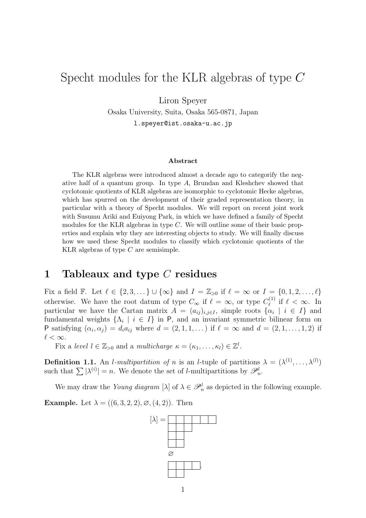# Specht modules for the KLR algebras of type C

Liron Speyer

Osaka University, Suita, Osaka 565-0871, Japan l.speyer@ist.osaka-u.ac.jp

#### Abstract

The KLR algebras were introduced almost a decade ago to categorify the negative half of a quantum group. In type A, Brundan and Kleshchev showed that cyclotomic quotients of KLR algebras are isomorphic to cyclotomic Hecke algebras, which has spurred on the development of their graded representation theory, in particular with a theory of Specht modules. We will report on recent joint work with Susumu Ariki and Euiyong Park, in which we have defined a family of Specht modules for the KLR algebras in type C. We will outline some of their basic properties and explain why they are interesting objects to study. We will finally discuss how we used these Specht modules to classify which cyclotomic quotients of the KLR algebras of type C are semisimple.

#### 1 Tableaux and type C residues

Fix a field F. Let  $\ell \in \{2, 3, \ldots\} \cup \{\infty\}$  and  $I = \mathbb{Z}_{\geq 0}$  if  $\ell = \infty$  or  $I = \{0, 1, 2, \ldots, \ell\}$ otherwise. We have the root datum of type  $C_{\infty}$  if  $\ell = \infty$ , or type  $C_{\ell}^{(1)}$  $\ell^{(1)}$  if  $\ell < \infty$ . In particular we have the Cartan matrix  $A = (a_{ij})_{i,j \in I}$ , simple roots  $\{\alpha_i \mid i \in I\}$  and fundamental weights  $\{\Lambda_i \mid i \in I\}$  in P, and an invariant symmetric bilinear form on P satisfying  $(\alpha_i, \alpha_j) = d_i a_{ij}$  where  $d = (2, 1, 1, \dots)$  if  $\ell = \infty$  and  $d = (2, 1, \dots, 1, 2)$  if  $\ell < \infty$ .

Fix a level  $l \in \mathbb{Z}_{>0}$  and a multicharge  $\kappa = (\kappa_1, \ldots, \kappa_l) \in \mathbb{Z}^l$ .

**Definition 1.1.** An *l*-multipartition of n is an *l*-tuple of partitions  $\lambda = (\lambda^{(1)}, \ldots, \lambda^{(l)})$ such that  $\sum |\lambda^{(i)}| = n$ . We denote the set of *l*-multipartitions by  $\mathscr{P}_n^l$ .

We may draw the Young diagram  $[\lambda]$  of  $\lambda \in \mathcal{P}_n^l$  as depicted in the following example.

**Example.** Let  $\lambda = ((6, 3, 2, 2), \emptyset, (4, 2))$ . Then

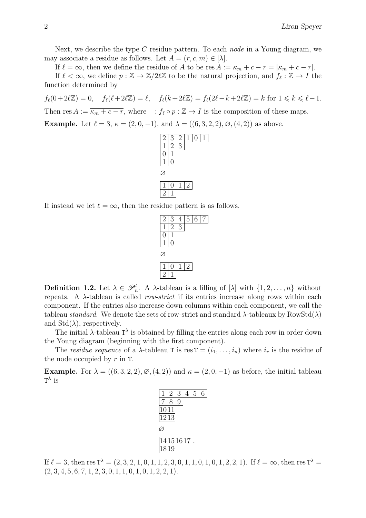Next, we describe the type C residue pattern. To each *node* in a Young diagram, we may associate a residue as follows. Let  $A = (r, c, m) \in [\lambda]$ .

If  $\ell = \infty$ , then we define the residue of A to be res  $A := \overline{\kappa_m + c - r} = |\kappa_m + c - r|$ .

If  $\ell < \infty$ , we define  $p : \mathbb{Z} \to \mathbb{Z}/2\ell\mathbb{Z}$  to be the natural projection, and  $f_{\ell} : \mathbb{Z} \to I$  the function determined by

 $f_{\ell}(0+2\ell\mathbb{Z}) = 0, \quad f_{\ell}(\ell+2\ell\mathbb{Z}) = \ell, \quad f_{\ell}(k + 2\ell\mathbb{Z}) = f_{\ell}(2\ell-k+2\ell\mathbb{Z}) = k \text{ for } 1 \leq k \leq \ell-1.$ 

Then res  $A := \overline{\kappa_m + c - r}$ , where  $\overline{\phantom{a}}$ :  $f_\ell \circ p : \mathbb{Z} \to I$  is the composition of these maps.

**Example.** Let  $\ell = 3$ ,  $\kappa = (2, 0, -1)$ , and  $\lambda = ((6, 3, 2, 2), \emptyset, (4, 2))$  as above.



If instead we let  $\ell = \infty$ , then the residue pattern is as follows.



**Definition 1.2.** Let  $\lambda \in \mathcal{P}_n^l$ . A  $\lambda$ -tableau is a filling of  $[\lambda]$  with  $\{1, 2, ..., n\}$  without repeats. A  $\lambda$ -tableau is called *row-strict* if its entries increase along rows within each component. If the entries also increase down columns within each component, we call the tableau standard. We denote the sets of row-strict and standard  $\lambda$ -tableaux by RowStd $(\lambda)$ and  $Std(\lambda)$ , respectively.

The initial  $\lambda$ -tableau  $T^{\lambda}$  is obtained by filling the entries along each row in order down the Young diagram (beginning with the first component).

The residue sequence of a  $\lambda$ -tableau T is res  $T = (i_1, \ldots, i_n)$  where  $i_r$  is the residue of the node occupied by  $r$  in T.

**Example.** For  $\lambda = ((6, 3, 2, 2), \emptyset, (4, 2))$  and  $\kappa = (2, 0, -1)$  as before, the initial tableau  $T^{\lambda}$  is



If  $\ell = 3$ , then res  $T^{\lambda} = (2, 3, 2, 1, 0, 1, 1, 2, 3, 0, 1, 1, 0, 1, 0, 1, 2, 2, 1)$ . If  $\ell = \infty$ , then res  $T^{\lambda} =$  $(2, 3, 4, 5, 6, 7, 1, 2, 3, 0, 1, 1, 0, 1, 0, 1, 2, 2, 1).$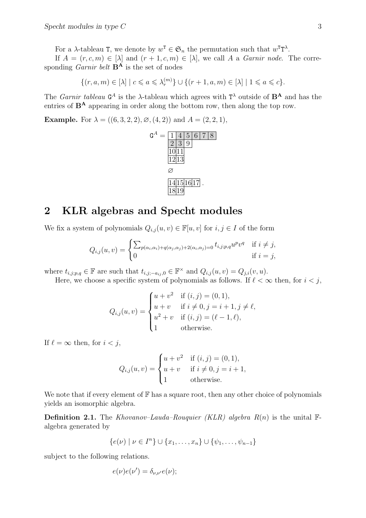For a  $\lambda$ -tableau T, we denote by  $w^T \in \mathfrak{S}_n$  the permutation such that  $w^T T^{\lambda}$ .

If  $A = (r, c, m) \in [\lambda]$  and  $(r + 1, c, m) \in [\lambda]$ , we call A a *Garnir node*. The corresponding *Garnir belt*  $\mathbf{B}^{\mathbf{A}}$  is the set of nodes

$$
\{(r,a,m)\in[\lambda] \mid c\leqslant a\leqslant \lambda^{(m)}_r\}\cup \{(r+1,a,m)\in[\lambda] \mid 1\leqslant a\leqslant c\}.
$$

The *Garnir tableau*  $G^A$  is the  $\lambda$ -tableau which agrees with  $T^{\lambda}$  outside of  $B^A$  and has the entries of  $B^A$  appearing in order along the bottom row, then along the top row.

**Example.** For  $\lambda = ((6, 3, 2, 2), \emptyset, (4, 2))$  and  $A = (2, 2, 1)$ ,



#### 2 KLR algebras and Specht modules

We fix a system of polynomials  $Q_{i,j}(u, v) \in \mathbb{F}[u, v]$  for  $i, j \in I$  of the form

$$
Q_{i,j}(u,v) = \begin{cases} \sum_{p(\alpha_i,\alpha_i)+q(\alpha_j,\alpha_j)+2(\alpha_i,\alpha_j)=0} t_{i,j;p,q}u^pv^q & \text{if } i \neq j, \\ 0 & \text{if } i=j, \end{cases}
$$

where  $t_{i,j;p,q} \in \mathbb{F}$  are such that  $t_{i,j;-a_{ij},0} \in \mathbb{F}^{\times}$  and  $Q_{i,j}(u,v) = Q_{j,i}(v,u)$ .

Here, we choose a specific system of polynomials as follows. If  $\ell < \infty$  then, for  $i < j$ ,

$$
Q_{i,j}(u,v) = \begin{cases} u+v^2 & \text{if } (i,j) = (0,1), \\ u+v & \text{if } i \neq 0, j = i+1, j \neq \ell, \\ u^2+v & \text{if } (i,j) = (\ell-1,\ell), \\ 1 & \text{otherwise.} \end{cases}
$$

If  $\ell = \infty$  then, for  $i < j$ ,

$$
Q_{i,j}(u,v) = \begin{cases} u+v^2 & \text{if } (i,j) = (0,1), \\ u+v & \text{if } i \neq 0, j = i+1, \\ 1 & \text{otherwise.} \end{cases}
$$

We note that if every element of  $\mathbb F$  has a square root, then any other choice of polynomials yields an isomorphic algebra.

**Definition 2.1.** The Khovanov–Lauda–Rouquier (KLR) algebra  $R(n)$  is the unital  $\mathbb{F}$ algebra generated by

$$
\{e(\nu) \mid \nu \in I^n\} \cup \{x_1, \ldots, x_n\} \cup \{\psi_1, \ldots, \psi_{n-1}\}\
$$

subject to the following relations.

$$
e(\nu)e(\nu')=\delta_{\nu,\nu'}e(\nu);
$$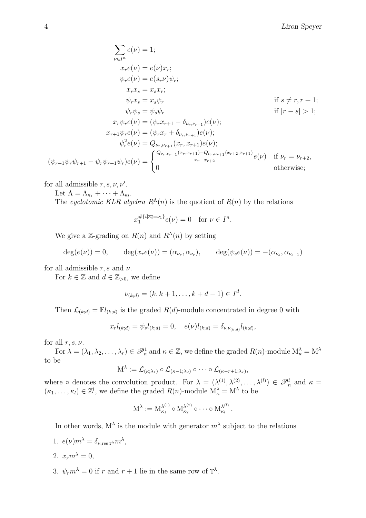$$
\sum_{\nu \in I^n} e(\nu) = 1; \n x_r e(\nu) = e(\nu) x_r; \n \psi_r e(\nu) = e(s_r \nu) \psi_r; \n x_r x_s = x_s x_r; \n \psi_r x_s = x_s \psi_r \qquad \text{if } s \neq r, r + 1; \n \psi_r \psi_s = \psi_s \psi_r \qquad \text{if } |r - s| > 1; \n x_r \psi_r e(\nu) = (\psi_r x_{r+1} - \delta_{\nu_r, \nu_{r+1}}) e(\nu); \n x_{r+1} \psi_r e(\nu) = (\psi_r x_r + \delta_{\nu_r, \nu_{r+1}}) e(\nu); \n \psi_r^2 e(\nu) = Q_{\nu_r, \nu_{r+1}}(x_r, x_{r+1}) e(\nu); \n (\psi_{r+1} \psi_r \psi_{r+1} - \psi_r \psi_{r+1} \psi_r) e(\nu) = \begin{cases} \frac{Q_{\nu_r, \nu_{r+1}}(x_r, x_{r+1}) - Q_{\nu_r, \nu_{r+1}}(x_{r+2}, x_{r+1})}{x_r - x_{r+2}} e(\nu) & \text{if } \nu_r = \nu_{r+2}, \n 0 & \text{otherwise}; \end{cases}
$$

for all admissible  $r, s, \nu, \nu'$ .

Let  $\Lambda = \Lambda_{\overline{\kappa_1}} + \cdots + \Lambda_{\overline{\kappa_l}}$ .

The cyclotomic KLR algebra  $R^{\Lambda}(n)$  is the quotient of  $R(n)$  by the relations

$$
x_1^{\#\{i|\overline{\kappa_i}=\nu_1\}}e(\nu)=0 \quad \text{for } \nu \in I^n.
$$

We give a Z-grading on  $R(n)$  and  $R^{\Lambda}(n)$  by setting

$$
deg(e(\nu)) = 0, \qquad deg(x_r e(\nu)) = (\alpha_{\nu_r}, \alpha_{\nu_r}), \qquad deg(\psi_s e(\nu)) = -(\alpha_{\nu_s}, \alpha_{\nu_{s+1}})
$$

for all admissible r, s and  $\nu$ .

For  $k \in \mathbb{Z}$  and  $d \in \mathbb{Z}_{>0}$ , we define

$$
\nu_{(k,d)} = (\overline{k}, \overline{k+1}, \dots, \overline{k+d-1}) \in I^d.
$$

Then  $\mathcal{L}_{(k;d)} = \mathbb{F}l_{(k;d)}$  is the graded  $R(d)$ -module concentrated in degree 0 with

$$
x_r l_{(k;d)} = \psi_s l_{(k;d)} = 0, \quad e(\nu) l_{(k;d)} = \delta_{\nu, \nu_{(k;d)}} l_{(k;d)},
$$

for all  $r, s, \nu$ .

For  $\lambda = (\lambda_1, \lambda_2, \dots, \lambda_r) \in \mathscr{P}_n^1$  and  $\kappa \in \mathbb{Z}$ , we define the graded  $R(n)$ -module  $M_{\kappa}^{\lambda} = M^{\lambda}$ to be

$$
\mathrm{M}^{\lambda} := \mathcal{L}_{(\kappa; \lambda_1)} \circ \mathcal{L}_{(\kappa-1; \lambda_2)} \circ \cdots \circ \mathcal{L}_{(\kappa-r+1; \lambda_r)},
$$

where  $\circ$  denotes the convolution product. For  $\lambda = (\lambda^{(1)}, \lambda^{(2)}, \ldots, \lambda^{(l)}) \in \mathscr{P}_n^l$  and  $\kappa =$  $(\kappa_1, \ldots, \kappa_l) \in \mathbb{Z}^l$ , we define the graded  $R(n)$ -module  $M_{\kappa}^{\lambda} = M^{\lambda}$  to be

$$
M^\lambda:=M^{\lambda^{(1)}}_{\kappa_1}\circ M^{\lambda^{(2)}}_{\kappa_2}\circ\cdots\circ M^{\lambda^{(l)}}_{\kappa_l}\,.
$$

In other words,  $M^{\lambda}$  is the module with generator  $m^{\lambda}$  subject to the relations

- 1.  $e(\nu) m^{\lambda} = \delta_{\nu, \text{res } \mathbf{T}^{\lambda}} m^{\lambda},$ 2.  $x_r m^{\lambda} = 0$ ,
- 3.  $\psi_r m^{\lambda} = 0$  if r and  $r + 1$  lie in the same row of  $T^{\lambda}$ .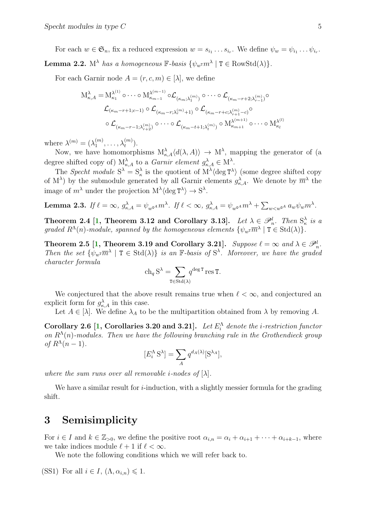<span id="page-4-1"></span>For each  $w \in \mathfrak{S}_n$ , fix a reduced expression  $w = s_{i_1} \ldots s_{i_r}$ . We define  $\psi_w = \psi_{i_1} \ldots \psi_{i_r}$ . **Lemma 2.2.**  $M^{\lambda}$  has a homogeneous  $\mathbb{F}$ -basis  $\{\psi_{w} \in \mathbb{R}^n \mid T \in \text{RowStd}(\lambda)\}.$ 

For each Garnir node  $A = (r, c, m) \in [\lambda]$ , we define

$$
M_{\kappa,A}^{\lambda} = M_{\kappa_1}^{\lambda^{(1)}} \circ \cdots \circ M_{\kappa_{m-1}}^{\lambda^{(m-1)}} \circ \mathcal{L}_{(\kappa_m; \lambda_1^{(m)})} \circ \cdots \circ \mathcal{L}_{(\kappa_{m-r+2}; \lambda_{r-1}^{(m)})} \circ
$$

$$
\mathcal{L}_{(\kappa_m-r+1;c-1)} \circ \mathcal{L}_{(\kappa_m-r; \lambda_r^{(m)}+1)} \circ \mathcal{L}_{(\kappa_m-r+c; \lambda_{r+1}^{(m)}-c)} \circ
$$

$$
\circ \mathcal{L}_{(\kappa_m-r-1; \lambda_{r+2}^{(m)})} \circ \cdots \circ \mathcal{L}_{(\kappa_m-t+1; \lambda_t^{(m)})} \circ M_{\kappa_{m+1}}^{\lambda^{(m+1)}} \circ \cdots \circ M_{\kappa_l}^{\lambda^{(l)}}
$$

where  $\lambda^{(m)} = (\lambda_1^{(m)}\)$  $\lambda_1^{(m)}, \ldots, \lambda_t^{(m)}$ ).

Now, we have homomorphisms  $M_{\kappa,A}^{\lambda} \langle d(\lambda,A) \rangle \to M^{\lambda}$ , mapping the generator of (a degree shifted copy of)  $M_{\kappa,A}^{\lambda}$  to a *Garnir element*  $g_{\kappa,A}^{\lambda} \in M^{\lambda}$ .

The Specht module  $S^{\lambda} = S_{\kappa}^{\lambda}$  is the quotient of  $M^{\lambda}$  (deg  $T^{\lambda}$ ) (some degree shifted copy of M<sup> $\lambda$ </sup>) by the submodule generated by all Garnir elements  $g_{\kappa,A}^{\lambda}$ . We denote by  $\overline{m}^{\lambda}$  the image of  $m^{\lambda}$  under the projection  $M^{\lambda} \langle \deg T^{\lambda} \rangle \to S^{\lambda}$ .

 ${\bf Lemma \ 2.3.} \ \ If \ \ell = \infty, \ g_{\kappa,A}^{\lambda} = \psi_{w^{\mathsf{G}^A}} m^\lambda. \ \ If \ \ell < \infty, \ g_{\kappa,A}^{\lambda} = \psi_{w^{\mathsf{G}^A}} m^\lambda + \sum_{w < w^{\mathsf{G}^A}} a_w \psi_w m^\lambda.$ 

Theorem 2.4 [\[1,](#page-6-0) Theorem 3.12 and Corollary 3.13]. Let  $\lambda \in \mathscr{P}_n^l$ . Then  $S_\kappa^\lambda$  is a graded  $R^{\Lambda}(n)$ -module, spanned by the homogeneous elements  $\{\psi_{w} \overline{m}^{\lambda} \mid T \in \text{Std}(\lambda)\}.$ 

Theorem 2.5 [\[1,](#page-6-0) Theorem 3.19 and Corollary 3.21]. Suppose  $\ell = \infty$  and  $\lambda \in \mathscr{P}_n^l$ . Then the set  $\{\psi_{w} \overline{m}^{\lambda} \mid T \in \text{Std}(\lambda)\}\$  is an F-basis of  $S^{\lambda}$ . Moreover, we have the graded character formula

$$
\operatorname{ch}_q S^\lambda = \sum_{\mathtt{T} \in \operatorname{Std}(\lambda)} q^{\deg \mathtt{T}} \operatorname{res} \mathtt{T}.
$$

We conjectured that the above result remains true when  $\ell < \infty$ , and conjectured an explicit form for  $g_{\kappa,A}^{\lambda}$  in this case.

Let  $A \in [\lambda]$ . We define  $\lambda_A$  to be the multipartition obtained from  $\lambda$  by removing A.

Corollary 2.6 [\[1,](#page-6-0) Corollaries 3.20 and 3.21]. Let  $E_i^{\Lambda}$  denote the *i*-restriction functor on  $R^{\Lambda}(n)$ -modules. Then we have the following branching rule in the Grothendieck group of  $R^{\Lambda}(n-1)$ .

$$
[E_i^{\Lambda} S^{\lambda}] = \sum_A q^{d_A(\lambda)} [S^{\lambda_A}],
$$

where the sum runs over all removable *i*-nodes of  $[\lambda]$ .

We have a similar result for  $i$ -induction, with a slightly messier formula for the grading shift.

### 3 Semisimplicity

For  $i \in I$  and  $k \in \mathbb{Z}_{>0}$ , we define the positive root  $\alpha_{i,n} = \alpha_i + \alpha_{i+1} + \cdots + \alpha_{i+k-1}$ , where we take indices module  $\ell + 1$  if  $\ell < \infty$ .

We note the following conditions which we will refer back to.

<span id="page-4-0"></span>(SS1) For all  $i \in I$ ,  $(\Lambda, \alpha_{i,n}) \leq 1$ .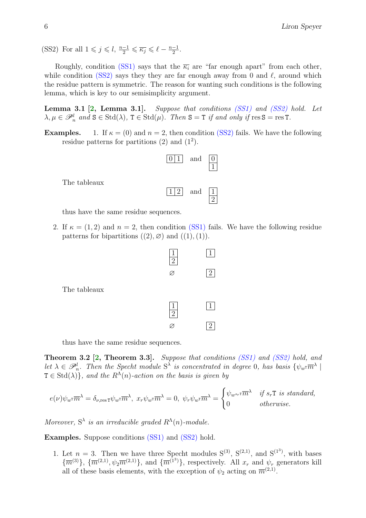<span id="page-5-1"></span><span id="page-5-0"></span>(SS2) For all  $1 \leqslant j \leqslant l$ ,  $\frac{n-1}{2} \leqslant \overline{\kappa_j} \leqslant \ell - \frac{n-1}{2}$  $\frac{-1}{2}$ .

Roughly, condition [\(SS1\)](#page-4-0) says that the  $\overline{\kappa_i}$  are "far enough apart" from each other, while condition [\(SS2\)](#page-5-0) says they they are far enough away from 0 and  $\ell$ , around which the residue pattern is symmetric. The reason for wanting such conditions is the following lemma, which is key to our semisimplicity argument.

Lemma 3.1 [\[2,](#page-6-1) Lemma 3.1]. Suppose that conditions [\(SS1\)](#page-4-0) and [\(SS2\)](#page-5-0) hold. Let  $\lambda, \mu \in \mathscr{P}_n^l$  and  $S \in \text{Std}(\lambda)$ ,  $T \in \text{Std}(\mu)$ . Then  $S = T$  if and only if  $\text{res } S = \text{res } T$ .

**Examples.** 1. If  $\kappa = (0)$  and  $n = 2$ , then condition [\(SS2\)](#page-5-0) fails. We have the following residue patterns for partitions  $(2)$  and  $(1^2)$ .



2

The tableaux

thus have the same residue sequences.

2. If  $\kappa = (1, 2)$  and  $n = 2$ , then condition [\(SS1\)](#page-4-0) fails. We have the following residue patterns for bipartitions  $((2), \emptyset)$  and  $((1), (1))$ .



thus have the same residue sequences.

Theorem 3.2 [\[2,](#page-6-1) Theorem 3.3]. Suppose that conditions [\(SS1\)](#page-4-0) and [\(SS2\)](#page-5-0) hold, and let  $\lambda \in \mathscr{P}_n^l$ . Then the Specht module  $S^{\lambda}$  is concentrated in degree 0, has basis  $\{\psi_w \bar{m}^{\lambda}\}\$  $T \in \text{Std}(\lambda)$ , and the  $R^{\Lambda}(n)$ -action on the basis is given by

$$
e(\nu)\psi_{w^{\text{T}}}\overline{m}^{\lambda} = \delta_{\nu,\text{res}\,\text{T}}\psi_{w^{\text{T}}}\overline{m}^{\lambda}, \ x_{r}\psi_{w^{\text{T}}}\overline{m}^{\lambda} = 0, \ \psi_{r}\psi_{w^{\text{T}}}\overline{m}^{\lambda} = \begin{cases} \psi_{w^{s_{r}}}\overline{m}^{\lambda} & \text{if } s_{r}\text{T is standard,} \\ 0 & \text{otherwise.} \end{cases}
$$

Moreover,  $S^{\lambda}$  is an irreducible graded  $R^{\Lambda}(n)$ -module.

Examples. Suppose conditions [\(SS1\)](#page-4-0) and [\(SS2\)](#page-5-0) hold.

1. Let  $n = 3$ . Then we have three Specht modules  $S^{(3)}$ ,  $S^{(2,1)}$ , and  $S^{(1^3)}$ , with bases  ${\overline{m}}^{(3)}$ ,  ${\overline{m}}^{(2,1)}, \psi_2 \overline{m}^{(2,1)}$ , and  ${\overline{m}}^{(1^3)}$ , respectively. All  $x_r$  and  $\psi_r$  generators kill all of these basis elements, with the exception of  $\psi_2$  acting on  $\overline{m}^{(2,1)}$ .

The tableaux